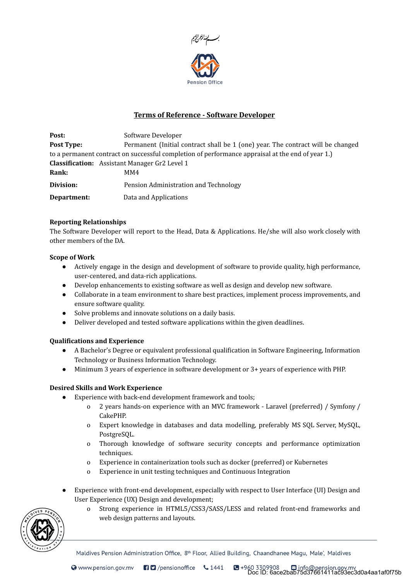

# Terms of Reference - Software Developer

| Post:       | Software Developer                                                                               |
|-------------|--------------------------------------------------------------------------------------------------|
| Post Type:  | Permanent (Initial contract shall be 1 (one) year. The contract will be changed                  |
|             | to a permanent contract on successful completion of performance appraisal at the end of year 1.) |
|             | <b>Classification:</b> Assistant Manager Gr2 Level 1                                             |
| Rank:       | MM4                                                                                              |
| Division:   | Pension Administration and Technology                                                            |
| Department: | Data and Applications                                                                            |

### Reporting Relationships

The Software Developer will report to the Head, Data & Applications. He/she will also work closely with other members of the DA.

#### Scope of Work

- Actively engage in the design and development of software to provide quality, high performance, user-centered, and data-rich applications.
- Develop enhancements to existing software as well as design and develop new software.
- Collaborate in a team environment to share best practices, implement process improvements, and ensure software quality.
- Solve problems and innovate solutions on a daily basis.
- Deliver developed and tested software applications within the given deadlines.

#### Qualifications and Experience

- A Bachelor's Degree or equivalent professional qualification in Software Engineering, Information Technology or Business Information Technology.
- Minimum 3 years of experience in software development or 3+ years of experience with PHP.

## Desired Skills and Work Experience

- Experience with back-end development framework and tools;
	- o 2 years hands-on experience with an MVC framework Laravel (preferred) / Symfony / CakePHP.
	- o Expert knowledge in databases and data modelling, preferably MS SQL Server, MySQL, PostgreSQL.
	- o Thorough knowledge of software security concepts and performance optimization techniques.
	- o Experience in containerization tools such as docker (preferred) or Kubernetes
	- o Experience in unit testing techniques and Continuous Integration
- Experience with front-end development, especially with respect to User Interface (UI) Design and User Experience (UX) Design and development;
	- o Strong experience in HTML5/CSS3/SASS/LESS and related front-end frameworks and web design patterns and layouts.



Maldives Pension Administration Office, 8<sup>th</sup> Floor, Allied Building, Chaandhanee Magu, Male', Maldives